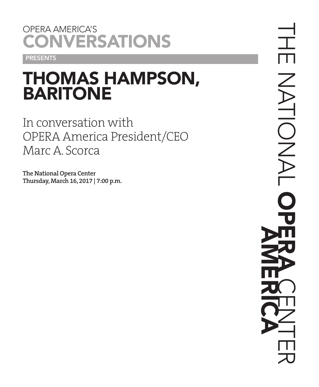## OPERA AMERICA'S **CONVERSATIONS**

**PRESENTS** 

# THOMAS HAMPSON, BARITONE

In conversation with OPERA America President/CEO Marc A. Scorca

**The National Opera Center Thursday, March 16, 2017 | 7:00 p.m.**

THE NATIONAL  $\Gamma$ DNA OPERA CENTER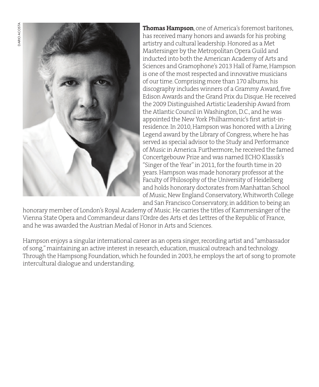

**Thomas Hampson**, one of America's foremost baritones, has received many honors and awards for his probing artistry and cultural leadership. Honored as a Met Mastersinger by the Metropolitan Opera Guild and inducted into both the American Academy of Arts and Sciences and Gramophone's 2013 Hall of Fame, Hampson is one of the most respected and innovative musicians of our time. Comprising more than 170 albums, his discography includes winners of a Grammy Award, five Edison Awards and the Grand Prix du Disque. He received the 2009 Distinguished Artistic Leadership Award from the Atlantic Council in Washington, D.C., and he was appointed the New York Philharmonic's first artist-inresidence. In 2010, Hampson was honored with a Living Legend award by the Library of Congress, where he has served as special advisor to the Study and Performance of Music in America. Furthermore, he received the famed Concertgebouw Prize and was named ECHO Klassik's "Singer of the Year" in 2011, for the fourth time in 20 years. Hampson was made honorary professor at the Faculty of Philosophy of the University of Heidelberg and holds honorary doctorates from Manhattan School of Music, New England Conservatory, Whitworth College and San Francisco Conservatory, in addition to being an

honorary member of London's Royal Academy of Music. He carries the titles of Kammersänger of the Vienna State Opera and Commandeur dans l'Ordre des Arts et des Lettres of the Republic of France, and he was awarded the Austrian Medal of Honor in Arts and Sciences.

Hampson enjoys a singular international career as an opera singer, recording artist and "ambassador of song," maintaining an active interest in research, education, musical outreach and technology. Through the Hampsong Foundation, which he founded in 2003, he employs the art of song to promote intercultural dialogue and understanding.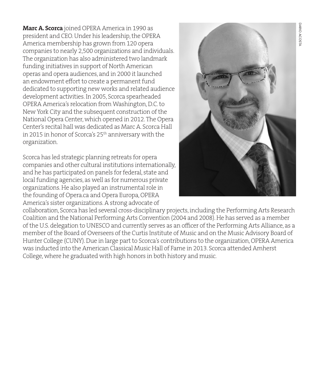**Marc A. Scorca** joined OPERA America in 1990 as president and CEO. Under his leadership, the OPERA America membership has grown from 120 opera companies to nearly 2,500 organizations and individuals. The organization has also administered two landmark funding initiatives in support of North American operas and opera audiences, and in 2000 it launched an endowment effort to create a permanent fund dedicated to supporting new works and related audience development activities. In 2005, Scorca spearheaded OPERA America's relocation from Washington, D.C. to New York City and the subsequent construction of the National Opera Center, which opened in 2012. The Opera Center's recital hall was dedicated as Marc A. Scorca Hall in 2015 in honor of Scorca's 25<sup>th</sup> anniversary with the organization.

Scorca has led strategic planning retreats for opera companies and other cultural institutions internationally, and he has participated on panels for federal, state and local funding agencies, as well as for numerous private organizations. He also played an instrumental role in the founding of Opera.ca and Opera Europa, OPERA America's sister organizations. A strong advocate of



collaboration, Scorca has led several cross-disciplinary projects, including the Performing Arts Research Coalition and the National Performing Arts Convention (2004 and 2008). He has served as a member of the U.S. delegation to UNESCO and currently serves as an officer of the Performing Arts Alliance, as a member of the Board of Overseers of the Curtis Institute of Music and on the Music Advisory Board of Hunter College (CUNY). Due in large part to Scorca's contributions to the organization, OPERA America was inducted into the American Classical Music Hall of Fame in 2013. Scorca attended Amherst College, where he graduated with high honors in both history and music.